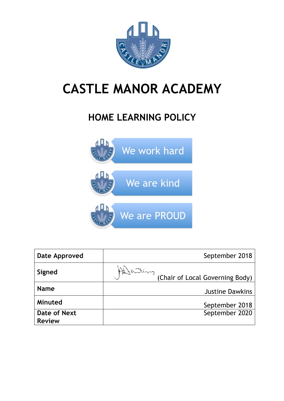

# **CASTLE MANOR ACADEMY**

## **HOME LEARNING POLICY**



| Date Approved                 |          | September 2018                  |
|-------------------------------|----------|---------------------------------|
| Signed                        | Attaling | (Chair of Local Governing Body) |
| <b>Name</b>                   |          | <b>Justine Dawkins</b>          |
| Minuted                       |          | September 2018                  |
| Date of Next<br><b>Review</b> |          | September 2020                  |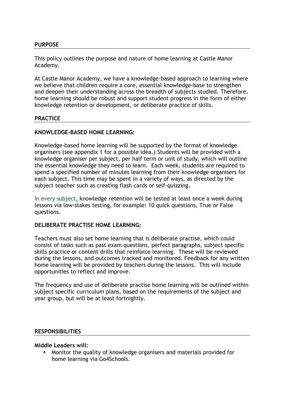#### **PURPOSE**

This policy outlines the purpose and nature of home learning at Castle Manor Academy.

At Castle Manor Academy, we have a knowledge-based approach to learning where we believe that children require a core, essential knowledge-base to strengthen and deepen their understanding across the breadth of subjects studied. Therefore, home learning should be robust and support student progress in the form of either knowledge retention or development, or deliberate practice of skills.

#### **PRACTICE**

#### **KNOWLEDGE-BASED HOME LEARNING:**

Knowledge-based home learning will be supported by the format of knowledge organisers (see appendix 1 for a possible idea.) Students will be provided with a knowledge organiser per subject, per half term or unit of study, which will outline the essential knowledge they need to learn. Each week, students are required to spend a specified number of minutes learning from their knowledge organisers for each subject. This time may be spent in a variety of ways, as directed by the subject teacher such as creating flash cards or self-quizzing.

In every subject, knowledge retention will be tested at least once a week during lessons via low-stakes testing, for example: 10 quick questions, True or False questions.

#### **DELIBERATE PRACTISE HOME LEARNING:**

Teachers must also set home learning that is deliberate practise, which could consist of tasks such as past exam questions, perfect paragraphs, subject specific skills practice or content drills that reinforce learning. These will be reviewed during the lessons, and outcomes tracked and monitored. Feedback for any written home learning will be provided by teachers during the lessons. This will include opportunities to reflect and improve.

The frequency and use of deliberate practise home learning will be outlined within subject specific curriculum plans, based on the requirements of the subject and year group, but will be at least fortnightly.

#### **RESPONSIBILITIES**

#### **Middle Leaders will:**

• Monitor the quality of knowledge organisers and materials provided for home learning via Go4Schools.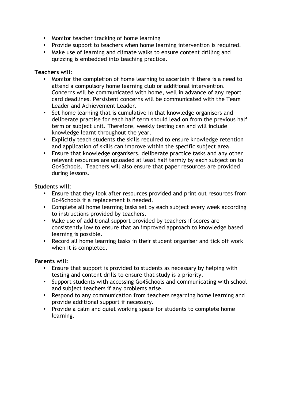- Monitor teacher tracking of home learning
- Provide support to teachers when home learning intervention is required.
- Make use of learning and climate walks to ensure content drilling and quizzing is embedded into teaching practice.

#### **Teachers will:**

- Monitor the completion of home learning to ascertain if there is a need to attend a compulsory home learning club or additional intervention. Concerns will be communicated with home, well in advance of any report card deadlines. Persistent concerns will be communicated with the Team Leader and Achievement Leader.
- Set home learning that is cumulative in that knowledge organisers and deliberate practise for each half term should lead on from the previous half term or subject unit. Therefore, weekly testing can and will include knowledge learnt throughout the year.
- Explicitly teach students the skills required to ensure knowledge retention and application of skills can improve within the specific subject area.
- Ensure that knowledge organisers, deliberate practice tasks and any other relevant resources are uploaded at least half termly by each subject on to Go4Schools. Teachers will also ensure that paper resources are provided during lessons.

#### **Students will:**

- Ensure that they look after resources provided and print out resources from Go4Schools if a replacement is needed.
- Complete all home learning tasks set by each subject every week according to instructions provided by teachers.
- Make use of additional support provided by teachers if scores are consistently low to ensure that an improved approach to knowledge based learning is possible.
- Record all home learning tasks in their student organiser and tick off work when it is completed.

#### **Parents will:**

- Ensure that support is provided to students as necessary by helping with testing and content drills to ensure that study is a priority.
- Support students with accessing Go4Schools and communicating with school and subject teachers if any problems arise.
- Respond to any communication from teachers regarding home learning and provide additional support if necessary.
- Provide a calm and quiet working space for students to complete home learning.